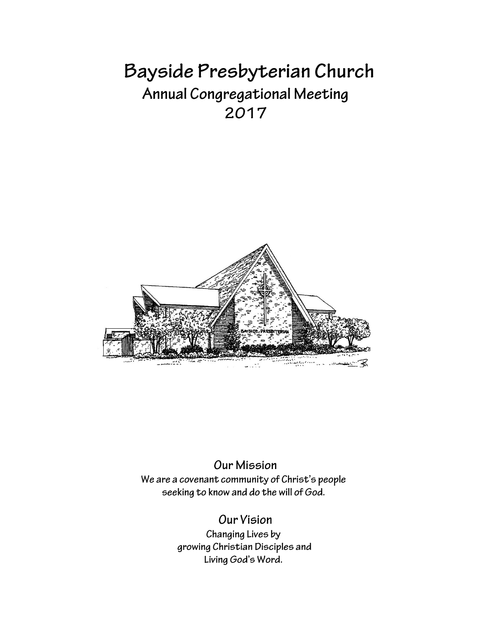# Bayside Presbyterian Church Annual Congregational Meeting 2017



# **Our Mission** We are a covenant community of Christ's people seeking to know and do the will of God.

# **Our Vision**

Changing Lives by growing Christian Disciples and Living God's Word.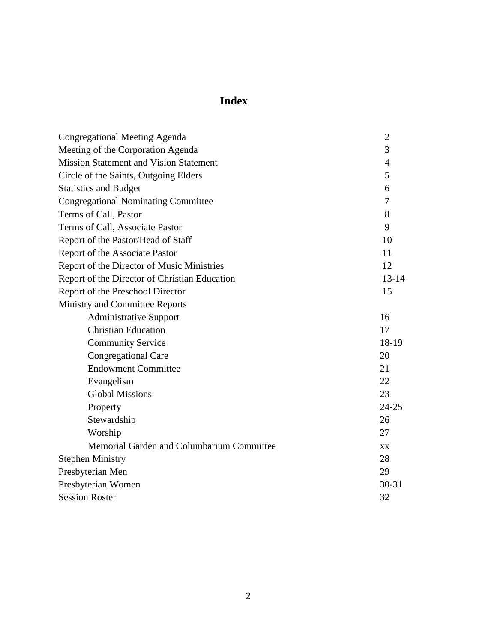# **Index**

| <b>Congregational Meeting Agenda</b>          | $\overline{2}$ |
|-----------------------------------------------|----------------|
| Meeting of the Corporation Agenda             | 3              |
| <b>Mission Statement and Vision Statement</b> | $\overline{4}$ |
| Circle of the Saints, Outgoing Elders         | 5              |
| <b>Statistics and Budget</b>                  | 6              |
| <b>Congregational Nominating Committee</b>    | 7              |
| Terms of Call, Pastor                         | 8              |
| Terms of Call, Associate Pastor               | 9              |
| Report of the Pastor/Head of Staff            | 10             |
| Report of the Associate Pastor                | 11             |
| Report of the Director of Music Ministries    | 12             |
| Report of the Director of Christian Education | $13 - 14$      |
| Report of the Preschool Director              | 15             |
| Ministry and Committee Reports                |                |
| <b>Administrative Support</b>                 | 16             |
| <b>Christian Education</b>                    | 17             |
| <b>Community Service</b>                      | 18-19          |
| <b>Congregational Care</b>                    | 20             |
| <b>Endowment Committee</b>                    | 21             |
| Evangelism                                    | 22             |
| <b>Global Missions</b>                        | 23             |
| Property                                      | $24 - 25$      |
| Stewardship                                   | 26             |
| Worship                                       | 27             |
| Memorial Garden and Columbarium Committee     | <b>XX</b>      |
| <b>Stephen Ministry</b>                       | 28             |
| Presbyterian Men                              | 29             |
| Presbyterian Women                            | $30 - 31$      |
| <b>Session Roster</b>                         | 32             |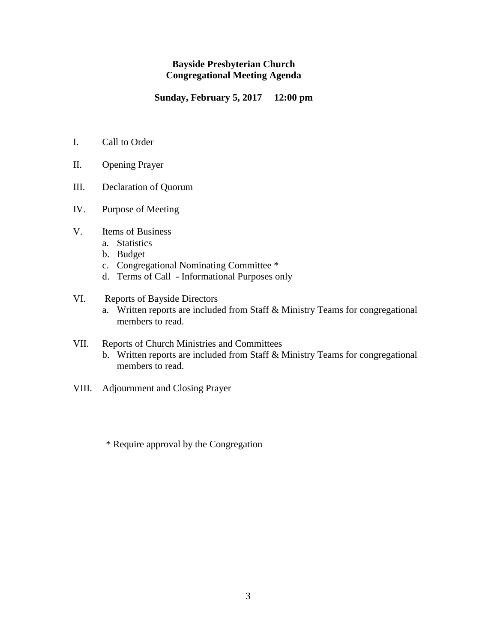#### **Bayside Presbyterian Church Congregational Meeting Agenda**

**Sunday, February 5, 2017 12:00 pm**

- I. Call to Order
- II. Opening Prayer
- III. Declaration of Quorum
- IV. Purpose of Meeting
- V. Items of Business
	- a. Statistics
	- b. Budget
	- c. Congregational Nominating Committee \*
	- d. Terms of Call Informational Purposes only
- VI. Reports of Bayside Directors
	- a. Written reports are included from Staff & Ministry Teams for congregational members to read.
- VII. Reports of Church Ministries and Committees
	- b. Written reports are included from Staff & Ministry Teams for congregational members to read.
- VIII. Adjournment and Closing Prayer
	- \* Require approval by the Congregation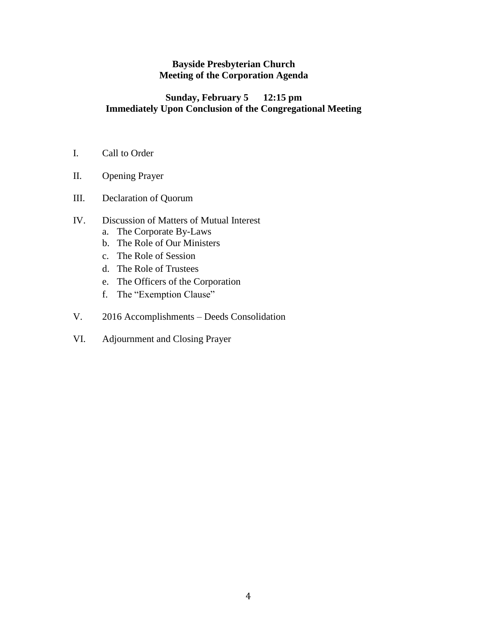#### **Bayside Presbyterian Church Meeting of the Corporation Agenda**

#### **Sunday, February 5 12:15 pm Immediately Upon Conclusion of the Congregational Meeting**

- I. Call to Order
- II. Opening Prayer
- III. Declaration of Quorum

### IV. Discussion of Matters of Mutual Interest

- a. The Corporate By-Laws
- b. The Role of Our Ministers
- c. The Role of Session
- d. The Role of Trustees
- e. The Officers of the Corporation
- f. The "Exemption Clause"
- V. 2016 Accomplishments Deeds Consolidation
- VI. Adjournment and Closing Prayer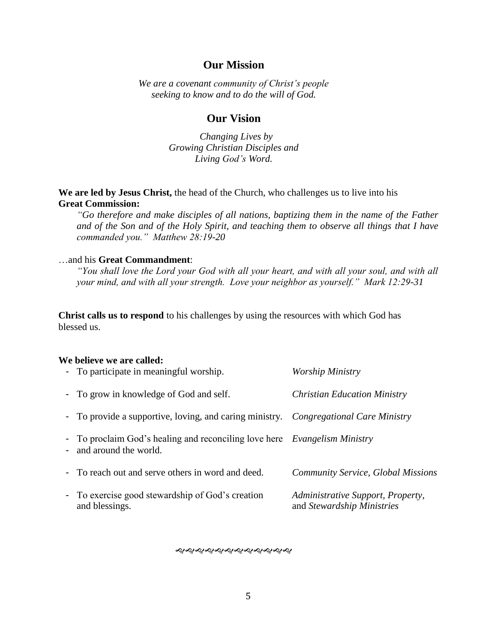#### **Our Mission**

*We are a covenant community of Christ's people seeking to know and to do the will of God.*

#### **Our Vision**

 *Changing Lives by Growing Christian Disciples and Living God's Word.* 

**We are led by Jesus Christ,** the head of the Church, who challenges us to live into his **Great Commission:**

*"Go therefore and make disciples of all nations, baptizing them in the name of the Father and of the Son and of the Holy Spirit, and teaching them to observe all things that I have commanded you." Matthew 28:19-20*

#### …and his **Great Commandment**:

*"You shall love the Lord your God with all your heart, and with all your soul, and with all your mind, and with all your strength. Love your neighbor as yourself." Mark 12:29-31*

**Christ calls us to respond** to his challenges by using the resources with which God has blessed us.

#### **We believe we are called:**

| - To participate in meaningful worship.                                                                     | <b>Worship Ministry</b>                                         |
|-------------------------------------------------------------------------------------------------------------|-----------------------------------------------------------------|
| - To grow in knowledge of God and self.                                                                     | <b>Christian Education Ministry</b>                             |
| - To provide a supportive, loving, and caring ministry. <i>Congregational Care Ministry</i>                 |                                                                 |
| - To proclaim God's healing and reconciling love here <i>Evangelism Ministry</i><br>- and around the world. |                                                                 |
| - To reach out and serve others in word and deed.                                                           | <b>Community Service, Global Missions</b>                       |
| - To exercise good stewardship of God's creation<br>and blessings.                                          | Administrative Support, Property,<br>and Stewardship Ministries |

**���������������**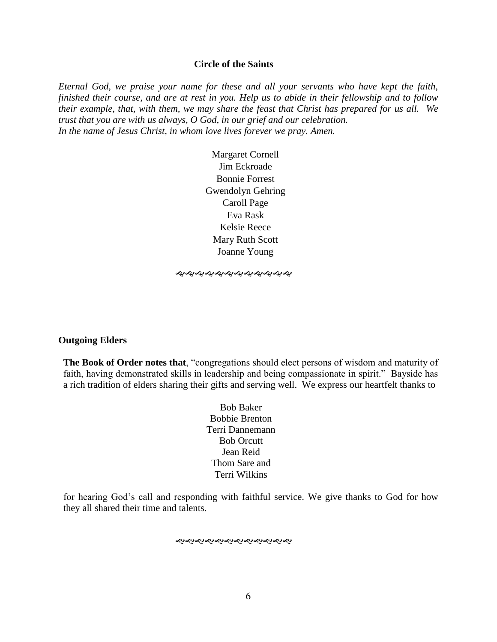#### **Circle of the Saints**

*Eternal God, we praise your name for these and all your servants who have kept the faith, finished their course, and are at rest in you. Help us to abide in their fellowship and to follow their example, that, with them, we may share the feast that Christ has prepared for us all. We trust that you are with us always, O God, in our grief and our celebration. In the name of Jesus Christ, in whom love lives forever we pray. Amen.*

> Margaret Cornell Jim Eckroade Bonnie Forrest Gwendolyn Gehring Caroll Page Eva Rask Kelsie Reece Mary Ruth Scott Joanne Young

*֍*֍֍֍֍֍֍֍֍֍֍

#### **Outgoing Elders**

**The Book of Order notes that**, "congregations should elect persons of wisdom and maturity of faith, having demonstrated skills in leadership and being compassionate in spirit." Bayside has a rich tradition of elders sharing their gifts and serving well. We express our heartfelt thanks to

> Bob Baker Bobbie Brenton Terri Dannemann Bob Orcutt Jean Reid Thom Sare and Terri Wilkins

for hearing God's call and responding with faithful service. We give thanks to God for how they all shared their time and talents.

#### *સર્વેશ્વેશ્વેશ્વેશ્વેશ્વેશ્વેશ્વેશ્વે*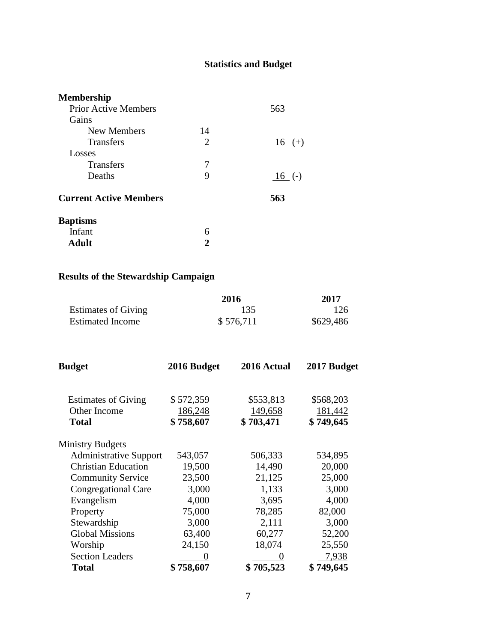# **Statistics and Budget**

| <b>Membership</b>             |    |           |
|-------------------------------|----|-----------|
| <b>Prior Active Members</b>   |    | 563       |
| Gains                         |    |           |
| New Members                   | 14 |           |
| <b>Transfers</b>              | 2  | $16 (+)$  |
| Losses                        |    |           |
| <b>Transfers</b>              | 7  |           |
| Deaths                        | 9  | $16( - )$ |
| <b>Current Active Members</b> |    | 563       |
| <b>Baptisms</b>               |    |           |
| Infant                        | 6  |           |
| Adult                         |    |           |

# **Results of the Stewardship Campaign**

|                            | 2016      | 2017      |
|----------------------------|-----------|-----------|
| <b>Estimates of Giving</b> | 135       | 126       |
| <b>Estimated Income</b>    | \$576,711 | \$629,486 |

| <b>Budget</b>                 | 2016 Budget | 2016 Actual | 2017 Budget |
|-------------------------------|-------------|-------------|-------------|
| <b>Estimates of Giving</b>    | \$572,359   | \$553,813   | \$568,203   |
| Other Income                  | 186,248     | 149,658     | 181,442     |
| <b>Total</b>                  | \$758,607   | \$703,471   | \$749,645   |
| <b>Ministry Budgets</b>       |             |             |             |
| <b>Administrative Support</b> | 543,057     | 506,333     | 534,895     |
| <b>Christian Education</b>    | 19,500      | 14,490      | 20,000      |
| <b>Community Service</b>      | 23,500      | 21,125      | 25,000      |
| <b>Congregational Care</b>    | 3,000       | 1,133       | 3,000       |
| Evangelism                    | 4,000       | 3,695       | 4,000       |
| Property                      | 75,000      | 78,285      | 82,000      |
| Stewardship                   | 3,000       | 2,111       | 3,000       |
| <b>Global Missions</b>        | 63,400      | 60,277      | 52,200      |
| Worship                       | 24,150      | 18,074      | 25,550      |
| <b>Section Leaders</b>        |             |             | 7,938       |
| <b>Total</b>                  | \$758,607   | \$705,523   | \$749,645   |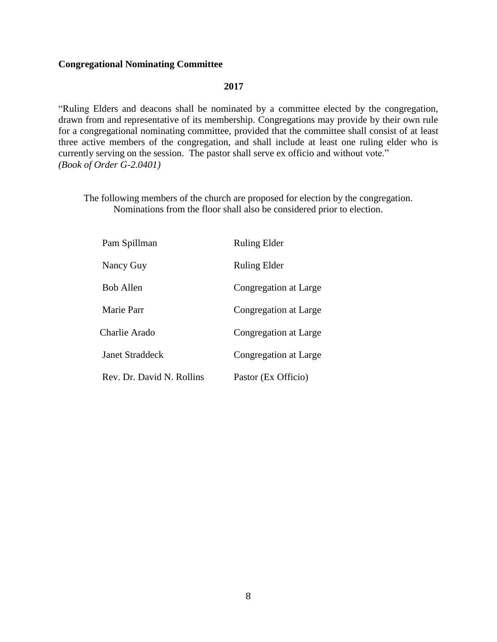#### **Congregational Nominating Committee**

#### **2017**

"Ruling Elders and deacons shall be nominated by a committee elected by the congregation*,*  drawn from and representative of its membership. Congregations may provide by their own rule for a congregational nominating committee, provided that the committee shall consist of at least three active members of the congregation, and shall include at least one ruling elder who is currently serving on the session. The pastor shall serve ex officio and without vote." *(Book of Order G-2.0401)*

The following members of the church are proposed for election by the congregation. Nominations from the floor shall also be considered prior to election.

| Pam Spillman              | <b>Ruling Elder</b>   |
|---------------------------|-----------------------|
| Nancy Guy                 | <b>Ruling Elder</b>   |
| <b>Bob Allen</b>          | Congregation at Large |
| Marie Parr                | Congregation at Large |
| Charlie Arado             | Congregation at Large |
| Janet Straddeck           | Congregation at Large |
| Rev. Dr. David N. Rollins | Pastor (Ex Officio)   |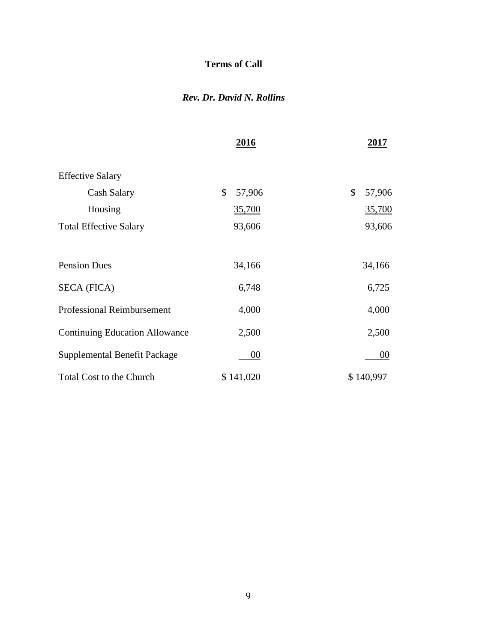### **Terms of Call**

### *Rev. Dr. David N. Rollins*

|                                       | 2016         | 2017         |
|---------------------------------------|--------------|--------------|
| <b>Effective Salary</b>               |              |              |
| Cash Salary                           | \$<br>57,906 | \$<br>57,906 |
| Housing                               | 35,700       | 35,700       |
| <b>Total Effective Salary</b>         | 93,606       | 93,606       |
|                                       |              |              |
| <b>Pension Dues</b>                   | 34,166       | 34,166       |
| <b>SECA (FICA)</b>                    | 6,748        | 6,725        |
| <b>Professional Reimbursement</b>     | 4,000        | 4,000        |
| <b>Continuing Education Allowance</b> | 2,500        | 2,500        |
| Supplemental Benefit Package          | 00           | 00           |
| <b>Total Cost to the Church</b>       | \$141,020    | \$140,997    |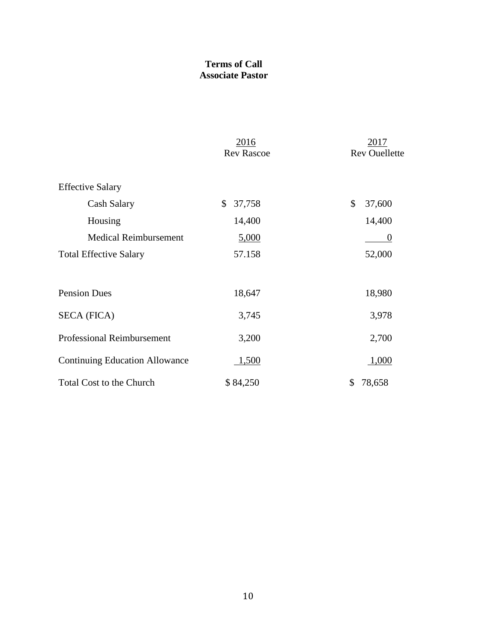### **Terms of Call Associate Pastor**

|                                       | 2016<br><b>Rev Rascoe</b> | 2017<br><b>Rev Ouellette</b> |
|---------------------------------------|---------------------------|------------------------------|
| <b>Effective Salary</b>               |                           |                              |
| Cash Salary                           | \$<br>37,758              | \$<br>37,600                 |
| Housing                               | 14,400                    | 14,400                       |
| <b>Medical Reimbursement</b>          | 5,000                     | $\theta$                     |
| <b>Total Effective Salary</b>         | 57.158                    | 52,000                       |
| <b>Pension Dues</b>                   | 18,647                    | 18,980                       |
| <b>SECA (FICA)</b>                    | 3,745                     | 3,978                        |
| <b>Professional Reimbursement</b>     | 3,200                     | 2,700                        |
| <b>Continuing Education Allowance</b> | 1,500                     | 1,000                        |
| <b>Total Cost to the Church</b>       | \$84,250                  | 78,658<br>\$                 |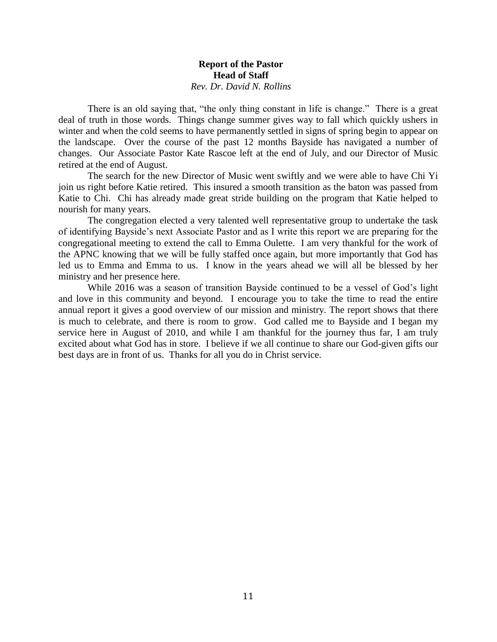#### **Report of the Pastor Head of Staff** *Rev. Dr. David N. Rollins*

There is an old saying that, "the only thing constant in life is change." There is a great deal of truth in those words. Things change summer gives way to fall which quickly ushers in winter and when the cold seems to have permanently settled in signs of spring begin to appear on the landscape. Over the course of the past 12 months Bayside has navigated a number of changes. Our Associate Pastor Kate Rascoe left at the end of July, and our Director of Music retired at the end of August.

The search for the new Director of Music went swiftly and we were able to have Chi Yi join us right before Katie retired. This insured a smooth transition as the baton was passed from Katie to Chi. Chi has already made great stride building on the program that Katie helped to nourish for many years.

The congregation elected a very talented well representative group to undertake the task of identifying Bayside's next Associate Pastor and as I write this report we are preparing for the congregational meeting to extend the call to Emma Oulette. I am very thankful for the work of the APNC knowing that we will be fully staffed once again, but more importantly that God has led us to Emma and Emma to us. I know in the years ahead we will all be blessed by her ministry and her presence here.

While 2016 was a season of transition Bayside continued to be a vessel of God's light and love in this community and beyond. I encourage you to take the time to read the entire annual report it gives a good overview of our mission and ministry. The report shows that there is much to celebrate, and there is room to grow. God called me to Bayside and I began my service here in August of 2010, and while I am thankful for the journey thus far, I am truly excited about what God has in store. I believe if we all continue to share our God-given gifts our best days are in front of us. Thanks for all you do in Christ service.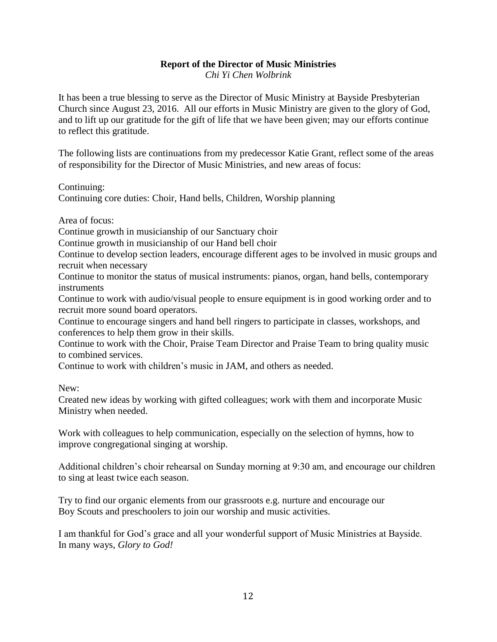# **Report of the Director of Music Ministries**

*Chi Yi Chen Wolbrink*

It has been a true blessing to serve as the Director of Music Ministry at Bayside Presbyterian Church since August 23, 2016. All our efforts in Music Ministry are given to the glory of God, and to lift up our gratitude for the gift of life that we have been given; may our efforts continue to reflect this gratitude.

The following lists are continuations from my predecessor Katie Grant, reflect some of the areas of responsibility for the Director of Music Ministries, and new areas of focus:

Continuing:

Continuing core duties: Choir, Hand bells, Children, Worship planning

Area of focus:

Continue growth in musicianship of our Sanctuary choir

Continue growth in musicianship of our Hand bell choir

Continue to develop section leaders, encourage different ages to be involved in music groups and recruit when necessary

Continue to monitor the status of musical instruments: pianos, organ, hand bells, contemporary **instruments** 

Continue to work with audio/visual people to ensure equipment is in good working order and to recruit more sound board operators.

Continue to encourage singers and hand bell ringers to participate in classes, workshops, and conferences to help them grow in their skills.

Continue to work with the Choir, Praise Team Director and Praise Team to bring quality music to combined services.

Continue to work with children's music in JAM, and others as needed.

New:

Created new ideas by working with gifted colleagues; work with them and incorporate Music Ministry when needed.

Work with colleagues to help communication, especially on the selection of hymns, how to improve congregational singing at worship.

Additional children's choir rehearsal on Sunday morning at 9:30 am, and encourage our children to sing at least twice each season.

Try to find our organic elements from our grassroots e.g. nurture and encourage our Boy Scouts and preschoolers to join our worship and music activities.

I am thankful for God's grace and all your wonderful support of Music Ministries at Bayside. In many ways, *Glory to God!*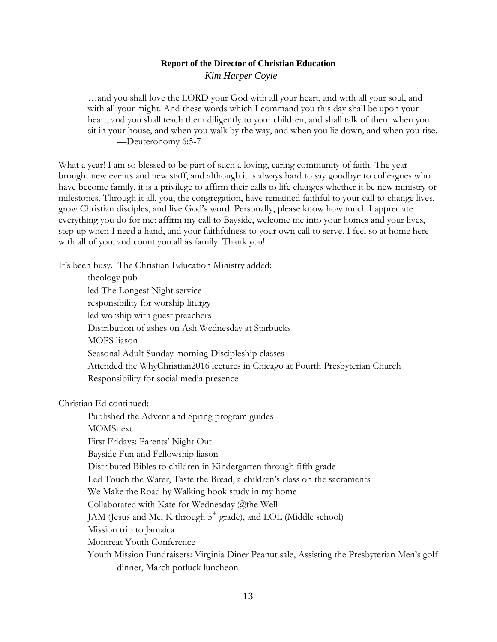#### **Report of the Director of Christian Education** *Kim Harper Coyle*

…and you shall love the LORD your God with all your heart, and with all your soul, and with all your might. And these words which I command you this day shall be upon your heart; and you shall teach them diligently to your children, and shall talk of them when you sit in your house, and when you walk by the way, and when you lie down, and when you rise. —Deuteronomy 6:5-7

What a year! I am so blessed to be part of such a loving, caring community of faith. The year brought new events and new staff, and although it is always hard to say goodbye to colleagues who have become family, it is a privilege to affirm their calls to life changes whether it be new ministry or milestones. Through it all, you, the congregation, have remained faithful to your call to change lives, grow Christian disciples, and live God's word. Personally, please know how much I appreciate everything you do for me: affirm my call to Bayside, welcome me into your homes and your lives, step up when I need a hand, and your faithfulness to your own call to serve. I feel so at home here with all of you, and count you all as family. Thank you!

It's been busy. The Christian Education Ministry added:

theology pub led The Longest Night service responsibility for worship liturgy led worship with guest preachers Distribution of ashes on Ash Wednesday at Starbucks MOPS liason Seasonal Adult Sunday morning Discipleship classes Attended the WhyChristian2016 lectures in Chicago at Fourth Presbyterian Church Responsibility for social media presence

Christian Ed continued:

Published the Advent and Spring program guides MOMSnext First Fridays: Parents' Night Out Bayside Fun and Fellowship liason Distributed Bibles to children in Kindergarten through fifth grade Led Touch the Water, Taste the Bread, a children's class on the sacraments We Make the Road by Walking book study in my home Collaborated with Kate for Wednesday @the Well JAM (Jesus and Me, K through 5<sup>th</sup> grade), and LOL (Middle school) Mission trip to Jamaica Montreat Youth Conference Youth Mission Fundraisers: Virginia Diner Peanut sale, Assisting the Presbyterian Men's golf dinner, March potluck luncheon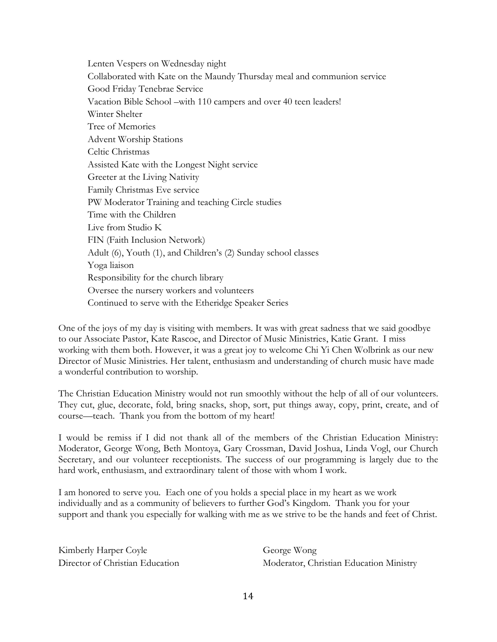Lenten Vespers on Wednesday night Collaborated with Kate on the Maundy Thursday meal and communion service Good Friday Tenebrae Service Vacation Bible School –with 110 campers and over 40 teen leaders! Winter Shelter Tree of Memories Advent Worship Stations Celtic Christmas Assisted Kate with the Longest Night service Greeter at the Living Nativity Family Christmas Eve service PW Moderator Training and teaching Circle studies Time with the Children Live from Studio K FIN (Faith Inclusion Network) Adult (6), Youth (1), and Children's (2) Sunday school classes Yoga liaison Responsibility for the church library Oversee the nursery workers and volunteers Continued to serve with the Etheridge Speaker Series

One of the joys of my day is visiting with members. It was with great sadness that we said goodbye to our Associate Pastor, Kate Rascoe, and Director of Music Ministries, Katie Grant. I miss working with them both. However, it was a great joy to welcome Chi Yi Chen Wolbrink as our new Director of Music Ministries. Her talent, enthusiasm and understanding of church music have made a wonderful contribution to worship.

The Christian Education Ministry would not run smoothly without the help of all of our volunteers. They cut, glue, decorate, fold, bring snacks, shop, sort, put things away, copy, print, create, and of course—teach. Thank you from the bottom of my heart!

I would be remiss if I did not thank all of the members of the Christian Education Ministry: Moderator, George Wong, Beth Montoya, Gary Crossman, David Joshua, Linda Vogl, our Church Secretary, and our volunteer receptionists. The success of our programming is largely due to the hard work, enthusiasm, and extraordinary talent of those with whom I work.

I am honored to serve you. Each one of you holds a special place in my heart as we work individually and as a community of believers to further God's Kingdom. Thank you for your support and thank you especially for walking with me as we strive to be the hands and feet of Christ.

Kimberly Harper Coyle George Wong

Director of Christian Education Moderator, Christian Education Ministry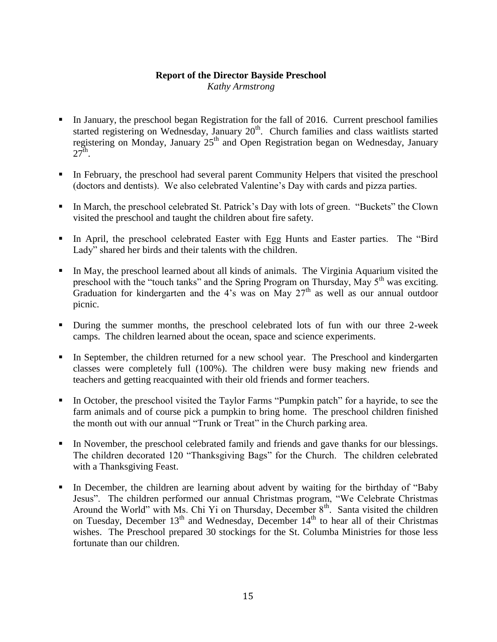#### **Report of the Director Bayside Preschool**

*Kathy Armstrong*

- In January, the preschool began Registration for the fall of 2016. Current preschool families started registering on Wednesday, January 20<sup>th</sup>. Church families and class waitlists started registering on Monday, January 25<sup>th</sup> and Open Registration began on Wednesday, January  $27^{\text{th}}$ .
- In February, the preschool had several parent Community Helpers that visited the preschool (doctors and dentists). We also celebrated Valentine's Day with cards and pizza parties.
- In March, the preschool celebrated St. Patrick's Day with lots of green. "Buckets" the Clown visited the preschool and taught the children about fire safety.
- In April, the preschool celebrated Easter with Egg Hunts and Easter parties. The "Bird Lady" shared her birds and their talents with the children.
- In May, the preschool learned about all kinds of animals. The Virginia Aquarium visited the preschool with the "touch tanks" and the Spring Program on Thursday, May 5<sup>th</sup> was exciting. Graduation for kindergarten and the 4's was on May  $27<sup>th</sup>$  as well as our annual outdoor picnic.
- During the summer months, the preschool celebrated lots of fun with our three 2-week camps. The children learned about the ocean, space and science experiments.
- In September, the children returned for a new school year. The Preschool and kindergarten classes were completely full (100%). The children were busy making new friends and teachers and getting reacquainted with their old friends and former teachers.
- In October, the preschool visited the Taylor Farms "Pumpkin patch" for a hayride, to see the farm animals and of course pick a pumpkin to bring home. The preschool children finished the month out with our annual "Trunk or Treat" in the Church parking area.
- In November, the preschool celebrated family and friends and gave thanks for our blessings. The children decorated 120 "Thanksgiving Bags" for the Church. The children celebrated with a Thanksgiving Feast.
- In December, the children are learning about advent by waiting for the birthday of "Baby Jesus". The children performed our annual Christmas program, "We Celebrate Christmas Around the World" with Ms. Chi Yi on Thursday, December  $8<sup>th</sup>$ . Santa visited the children on Tuesday, December  $13<sup>th</sup>$  and Wednesday, December  $14<sup>th</sup>$  to hear all of their Christmas wishes. The Preschool prepared 30 stockings for the St. Columba Ministries for those less fortunate than our children.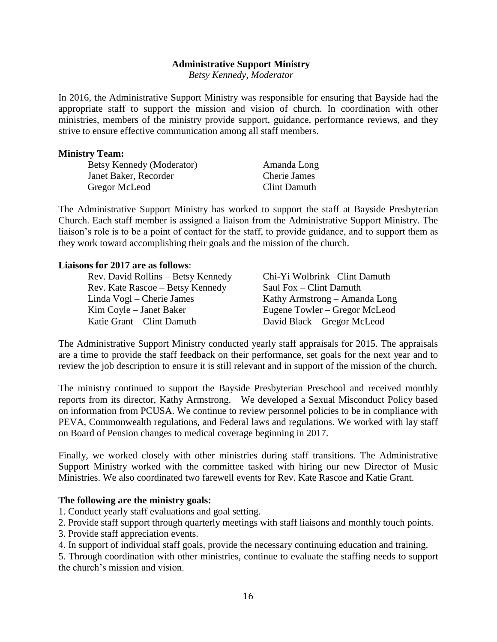#### **Administrative Support Ministry**

*Betsy Kennedy, Moderator*

In 2016, the Administrative Support Ministry was responsible for ensuring that Bayside had the appropriate staff to support the mission and vision of church. In coordination with other ministries, members of the ministry provide support, guidance, performance reviews, and they strive to ensure effective communication among all staff members.

#### **Ministry Team:**

Betsy Kennedy (Moderator) Janet Baker, Recorder Gregor McLeod

Amanda Long Cherie James Clint Damuth

The Administrative Support Ministry has worked to support the staff at Bayside Presbyterian Church. Each staff member is assigned a liaison from the Administrative Support Ministry. The liaison's role is to be a point of contact for the staff, to provide guidance, and to support them as they work toward accomplishing their goals and the mission of the church.

#### **Liaisons for 2017 are as follows**:

| Rev. David Rollins - Betsy Kennedy | Chi-Yi Wolbrink - Clint Damuth |
|------------------------------------|--------------------------------|
| Rev. Kate Rascoe – Betsy Kennedy   | Saul Fox – Clint Damuth        |
| Linda Vogl – Cherie James          | Kathy Armstrong – Amanda Long  |
| Kim Coyle – Janet Baker            | Eugene Towler – Gregor McLeod  |
| Katie Grant – Clint Damuth         | David Black – Gregor McLeod    |

The Administrative Support Ministry conducted yearly staff appraisals for 2015. The appraisals are a time to provide the staff feedback on their performance, set goals for the next year and to review the job description to ensure it is still relevant and in support of the mission of the church.

The ministry continued to support the Bayside Presbyterian Preschool and received monthly reports from its director, Kathy Armstrong. We developed a Sexual Misconduct Policy based on information from PCUSA. We continue to review personnel policies to be in compliance with PEVA, Commonwealth regulations, and Federal laws and regulations. We worked with lay staff on Board of Pension changes to medical coverage beginning in 2017.

Finally, we worked closely with other ministries during staff transitions. The Administrative Support Ministry worked with the committee tasked with hiring our new Director of Music Ministries. We also coordinated two farewell events for Rev. Kate Rascoe and Katie Grant.

#### **The following are the ministry goals:**

1. Conduct yearly staff evaluations and goal setting.

2. Provide staff support through quarterly meetings with staff liaisons and monthly touch points.

- 3. Provide staff appreciation events.
- 4. In support of individual staff goals, provide the necessary continuing education and training.

5. Through coordination with other ministries, continue to evaluate the staffing needs to support the church's mission and vision.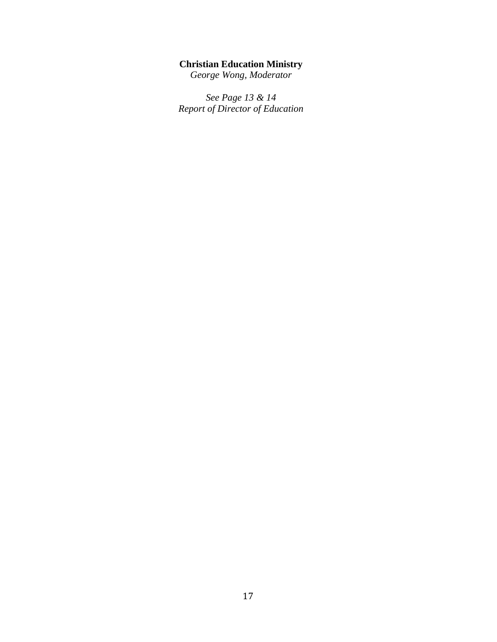#### **Christian Education Ministry**

*George Wong, Moderator*

*See Page 13 & 14 Report of Director of Education*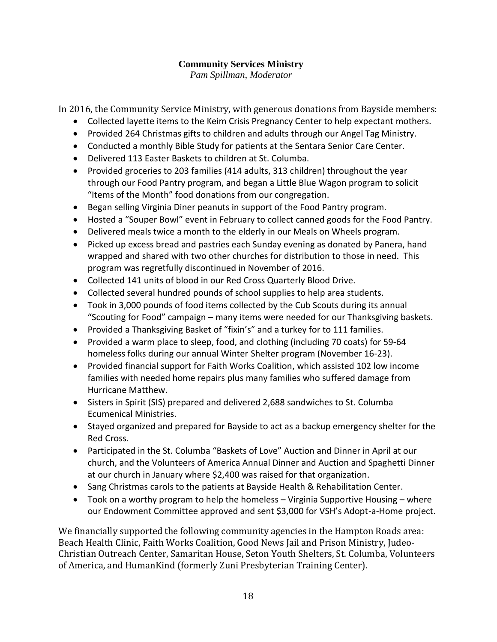# **Community Services Ministry**

*Pam Spillman, Moderator*

In 2016, the Community Service Ministry, with generous donations from Bayside members:

- Collected layette items to the Keim Crisis Pregnancy Center to help expectant mothers.
- Provided 264 Christmas gifts to children and adults through our Angel Tag Ministry.
- Conducted a monthly Bible Study for patients at the Sentara Senior Care Center.
- Delivered 113 Easter Baskets to children at St. Columba.
- Provided groceries to 203 families (414 adults, 313 children) throughout the year through our Food Pantry program, and began a Little Blue Wagon program to solicit "Items of the Month" food donations from our congregation.
- Began selling Virginia Diner peanuts in support of the Food Pantry program.
- Hosted a "Souper Bowl" event in February to collect canned goods for the Food Pantry.
- Delivered meals twice a month to the elderly in our Meals on Wheels program.
- Picked up excess bread and pastries each Sunday evening as donated by Panera, hand wrapped and shared with two other churches for distribution to those in need. This program was regretfully discontinued in November of 2016.
- Collected 141 units of blood in our Red Cross Quarterly Blood Drive.
- Collected several hundred pounds of school supplies to help area students.
- Took in 3,000 pounds of food items collected by the Cub Scouts during its annual "Scouting for Food" campaign – many items were needed for our Thanksgiving baskets.
- Provided a Thanksgiving Basket of "fixin's" and a turkey for to 111 families.
- Provided a warm place to sleep, food, and clothing (including 70 coats) for 59-64 homeless folks during our annual Winter Shelter program (November 16-23).
- Provided financial support for Faith Works Coalition, which assisted 102 low income families with needed home repairs plus many families who suffered damage from Hurricane Matthew.
- Sisters in Spirit (SIS) prepared and delivered 2,688 sandwiches to St. Columba Ecumenical Ministries.
- Stayed organized and prepared for Bayside to act as a backup emergency shelter for the Red Cross.
- Participated in the St. Columba "Baskets of Love" Auction and Dinner in April at our church, and the Volunteers of America Annual Dinner and Auction and Spaghetti Dinner at our church in January where \$2,400 was raised for that organization.
- Sang Christmas carols to the patients at Bayside Health & Rehabilitation Center.
- Took on a worthy program to help the homeless Virginia Supportive Housing where our Endowment Committee approved and sent \$3,000 for VSH's Adopt-a-Home project.

We financially supported the following community agencies in the Hampton Roads area: Beach Health Clinic, Faith Works Coalition, Good News Jail and Prison Ministry, Judeo-Christian Outreach Center, Samaritan House, Seton Youth Shelters, St. Columba, Volunteers of America, and HumanKind (formerly Zuni Presbyterian Training Center).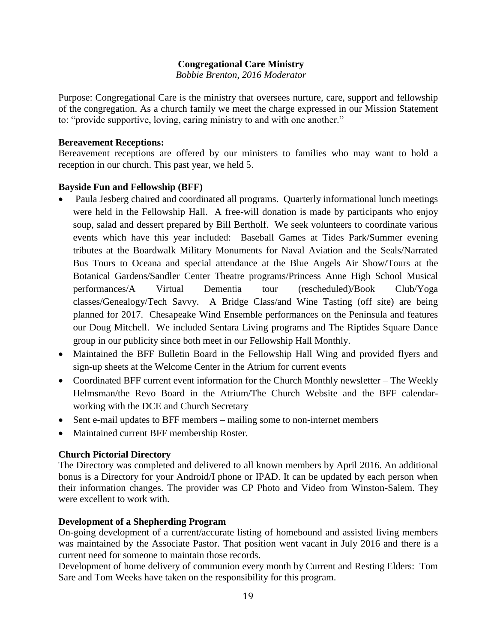#### **Congregational Care Ministry**

*Bobbie Brenton, 2016 Moderator*

Purpose: Congregational Care is the ministry that oversees nurture, care, support and fellowship of the congregation. As a church family we meet the charge expressed in our Mission Statement to: "provide supportive, loving, caring ministry to and with one another."

#### **Bereavement Receptions:**

Bereavement receptions are offered by our ministers to families who may want to hold a reception in our church. This past year, we held 5.

#### **Bayside Fun and Fellowship (BFF)**

- Paula Jesberg chaired and coordinated all programs. Quarterly informational lunch meetings were held in the Fellowship Hall. A free-will donation is made by participants who enjoy soup, salad and dessert prepared by Bill Bertholf. We seek volunteers to coordinate various events which have this year included: Baseball Games at Tides Park/Summer evening tributes at the Boardwalk Military Monuments for Naval Aviation and the Seals/Narrated Bus Tours to Oceana and special attendance at the Blue Angels Air Show/Tours at the Botanical Gardens/Sandler Center Theatre programs/Princess Anne High School Musical performances/A Virtual Dementia tour (rescheduled)/Book Club/Yoga classes/Genealogy/Tech Savvy. A Bridge Class/and Wine Tasting (off site) are being planned for 2017. Chesapeake Wind Ensemble performances on the Peninsula and features our Doug Mitchell. We included Sentara Living programs and The Riptides Square Dance group in our publicity since both meet in our Fellowship Hall Monthly.
- Maintained the BFF Bulletin Board in the Fellowship Hall Wing and provided flyers and sign-up sheets at the Welcome Center in the Atrium for current events
- Coordinated BFF current event information for the Church Monthly newsletter The Weekly Helmsman/the Revo Board in the Atrium/The Church Website and the BFF calendarworking with the DCE and Church Secretary
- Sent e-mail updates to BFF members mailing some to non-internet members
- Maintained current BFF membership Roster.

#### **Church Pictorial Directory**

The Directory was completed and delivered to all known members by April 2016. An additional bonus is a Directory for your Android/I phone or IPAD. It can be updated by each person when their information changes. The provider was CP Photo and Video from Winston-Salem. They were excellent to work with.

#### **Development of a Shepherding Program**

On-going development of a current/accurate listing of homebound and assisted living members was maintained by the Associate Pastor. That position went vacant in July 2016 and there is a current need for someone to maintain those records.

Development of home delivery of communion every month by Current and Resting Elders: Tom Sare and Tom Weeks have taken on the responsibility for this program.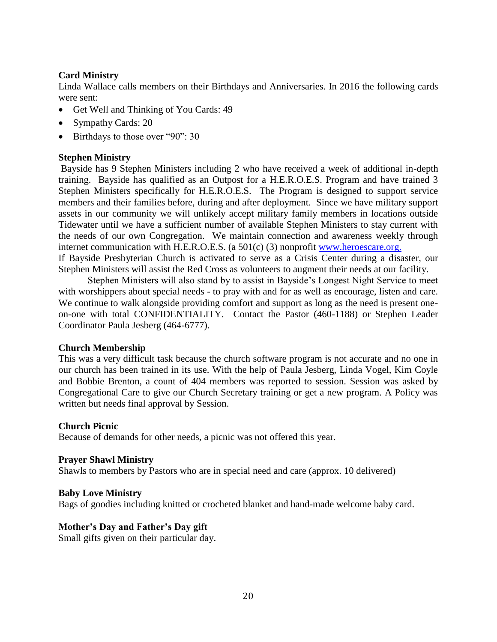#### **Card Ministry**

Linda Wallace calls members on their Birthdays and Anniversaries. In 2016 the following cards were sent:

- Get Well and Thinking of You Cards: 49
- Sympathy Cards: 20
- Birthdays to those over "90": 30

#### **Stephen Ministry**

Bayside has 9 Stephen Ministers including 2 who have received a week of additional in-depth training. Bayside has qualified as an Outpost for a H.E.R.O.E.S. Program and have trained 3 Stephen Ministers specifically for H.E.R.O.E.S. The Program is designed to support service members and their families before, during and after deployment. Since we have military support assets in our community we will unlikely accept military family members in locations outside Tidewater until we have a sufficient number of available Stephen Ministers to stay current with the needs of our own Congregation. We maintain connection and awareness weekly through internet communication with H.E.R.O.E.S. (a 501(c) (3) nonprofit [www.heroescare.org.](http://www.heroescare.org/)

If Bayside Presbyterian Church is activated to serve as a Crisis Center during a disaster, our Stephen Ministers will assist the Red Cross as volunteers to augment their needs at our facility.

Stephen Ministers will also stand by to assist in Bayside's Longest Night Service to meet with worshippers about special needs - to pray with and for as well as encourage, listen and care. We continue to walk alongside providing comfort and support as long as the need is present oneon-one with total CONFIDENTIALITY. Contact the Pastor (460-1188) or Stephen Leader Coordinator Paula Jesberg (464-6777).

#### **Church Membership**

This was a very difficult task because the church software program is not accurate and no one in our church has been trained in its use. With the help of Paula Jesberg, Linda Vogel, Kim Coyle and Bobbie Brenton, a count of 404 members was reported to session. Session was asked by Congregational Care to give our Church Secretary training or get a new program. A Policy was written but needs final approval by Session.

#### **Church Picnic**

Because of demands for other needs, a picnic was not offered this year.

#### **Prayer Shawl Ministry**

Shawls to members by Pastors who are in special need and care (approx. 10 delivered)

#### **Baby Love Ministry**

Bags of goodies including knitted or crocheted blanket and hand-made welcome baby card.

#### **Mother's Day and Father's Day gift**

Small gifts given on their particular day.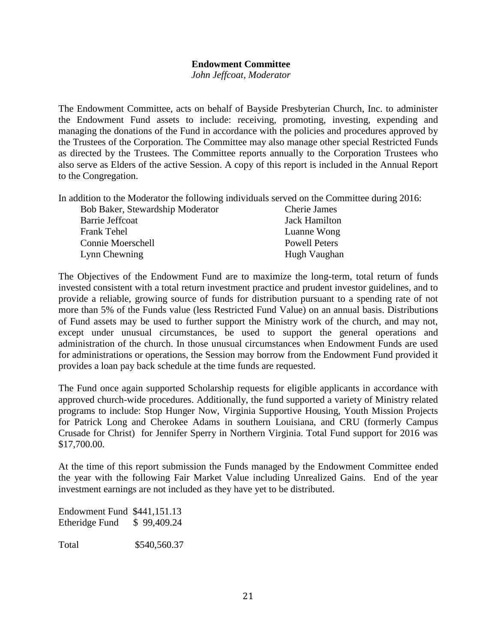#### **Endowment Committee**

*John Jeffcoat, Moderator*

The Endowment Committee, acts on behalf of Bayside Presbyterian Church, Inc. to administer the Endowment Fund assets to include: receiving, promoting, investing, expending and managing the donations of the Fund in accordance with the policies and procedures approved by the Trustees of the Corporation. The Committee may also manage other special Restricted Funds as directed by the Trustees. The Committee reports annually to the Corporation Trustees who also serve as Elders of the active Session. A copy of this report is included in the Annual Report to the Congregation.

In addition to the Moderator the following individuals served on the Committee during 2016:

| Bob Baker, Stewardship Moderator | <b>Cherie James</b>  |
|----------------------------------|----------------------|
| Barrie Jeffcoat                  | Jack Hamilton        |
| <b>Frank Tehel</b>               | Luanne Wong          |
| Connie Moerschell                | <b>Powell Peters</b> |
| Lynn Chewning                    | Hugh Vaughan         |

The Objectives of the Endowment Fund are to maximize the long-term, total return of funds invested consistent with a total return investment practice and prudent investor guidelines, and to provide a reliable, growing source of funds for distribution pursuant to a spending rate of not more than 5% of the Funds value (less Restricted Fund Value) on an annual basis. Distributions of Fund assets may be used to further support the Ministry work of the church, and may not, except under unusual circumstances, be used to support the general operations and administration of the church. In those unusual circumstances when Endowment Funds are used for administrations or operations, the Session may borrow from the Endowment Fund provided it provides a loan pay back schedule at the time funds are requested.

The Fund once again supported Scholarship requests for eligible applicants in accordance with approved church-wide procedures. Additionally, the fund supported a variety of Ministry related programs to include: Stop Hunger Now, Virginia Supportive Housing, Youth Mission Projects for Patrick Long and Cherokee Adams in southern Louisiana, and CRU (formerly Campus Crusade for Christ) for Jennifer Sperry in Northern Virginia. Total Fund support for 2016 was \$17,700.00.

At the time of this report submission the Funds managed by the Endowment Committee ended the year with the following Fair Market Value including Unrealized Gains. End of the year investment earnings are not included as they have yet to be distributed.

Endowment Fund \$441,151.13 Etheridge Fund \$ 99,409.24

Total \$540,560.37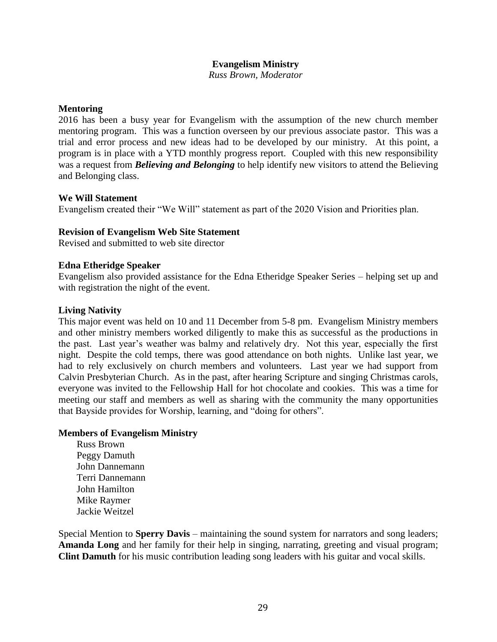#### **Evangelism Ministry**

*Russ Brown, Moderator*

#### **Mentoring**

2016 has been a busy year for Evangelism with the assumption of the new church member mentoring program. This was a function overseen by our previous associate pastor. This was a trial and error process and new ideas had to be developed by our ministry. At this point, a program is in place with a YTD monthly progress report. Coupled with this new responsibility was a request from *Believing and Belonging* to help identify new visitors to attend the Believing and Belonging class.

#### **We Will Statement**

Evangelism created their "We Will" statement as part of the 2020 Vision and Priorities plan.

#### **Revision of Evangelism Web Site Statement**

Revised and submitted to web site director

#### **Edna Etheridge Speaker**

Evangelism also provided assistance for the Edna Etheridge Speaker Series – helping set up and with registration the night of the event.

#### **Living Nativity**

This major event was held on 10 and 11 December from 5-8 pm. Evangelism Ministry members and other ministry members worked diligently to make this as successful as the productions in the past. Last year's weather was balmy and relatively dry. Not this year, especially the first night. Despite the cold temps, there was good attendance on both nights. Unlike last year, we had to rely exclusively on church members and volunteers. Last year we had support from Calvin Presbyterian Church. As in the past, after hearing Scripture and singing Christmas carols, everyone was invited to the Fellowship Hall for hot chocolate and cookies. This was a time for meeting our staff and members as well as sharing with the community the many opportunities that Bayside provides for Worship, learning, and "doing for others".

#### **Members of Evangelism Ministry**

Russ Brown Peggy Damuth John Dannemann Terri Dannemann John Hamilton Mike Raymer Jackie Weitzel

Special Mention to **Sperry Davis** – maintaining the sound system for narrators and song leaders; **Amanda Long** and her family for their help in singing, narrating, greeting and visual program; **Clint Damuth** for his music contribution leading song leaders with his guitar and vocal skills.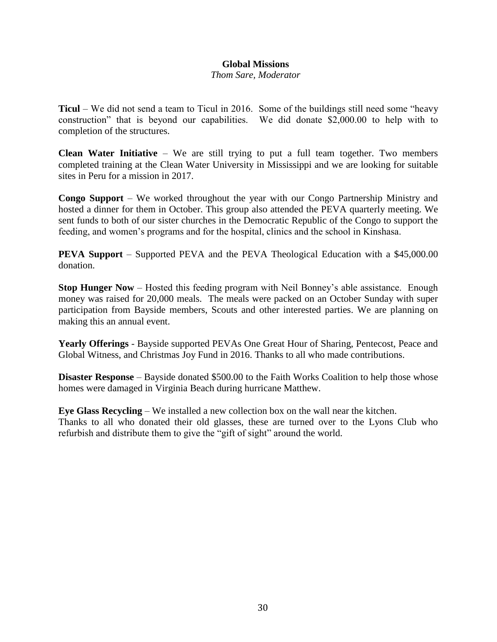#### **Global Missions**

*Thom Sare, Moderator*

**Ticul** – We did not send a team to Ticul in 2016. Some of the buildings still need some "heavy construction" that is beyond our capabilities. We did donate \$2,000.00 to help with to completion of the structures.

**Clean Water Initiative** – We are still trying to put a full team together. Two members completed training at the Clean Water University in Mississippi and we are looking for suitable sites in Peru for a mission in 2017.

**Congo Support** – We worked throughout the year with our Congo Partnership Ministry and hosted a dinner for them in October. This group also attended the PEVA quarterly meeting. We sent funds to both of our sister churches in the Democratic Republic of the Congo to support the feeding, and women's programs and for the hospital, clinics and the school in Kinshasa.

**PEVA Support** – Supported PEVA and the PEVA Theological Education with a \$45,000.00 donation.

**Stop Hunger Now** – Hosted this feeding program with Neil Bonney's able assistance. Enough money was raised for 20,000 meals. The meals were packed on an October Sunday with super participation from Bayside members, Scouts and other interested parties. We are planning on making this an annual event.

**Yearly Offerings** - Bayside supported PEVAs One Great Hour of Sharing, Pentecost, Peace and Global Witness, and Christmas Joy Fund in 2016. Thanks to all who made contributions.

**Disaster Response** – Bayside donated \$500.00 to the Faith Works Coalition to help those whose homes were damaged in Virginia Beach during hurricane Matthew.

**Eye Glass Recycling** – We installed a new collection box on the wall near the kitchen. Thanks to all who donated their old glasses, these are turned over to the Lyons Club who refurbish and distribute them to give the "gift of sight" around the world.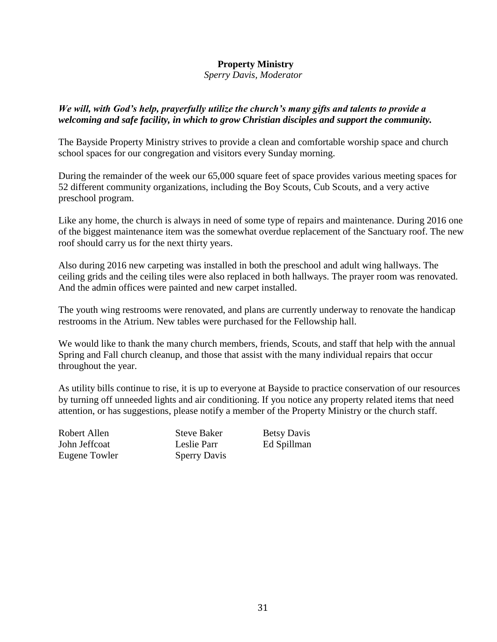#### **Property Ministry**

 *Sperry Davis, Moderator*

#### *We will, with God's help, prayerfully utilize the church's many gifts and talents to provide a welcoming and safe facility, in which to grow Christian disciples and support the community.*

The Bayside Property Ministry strives to provide a clean and comfortable worship space and church school spaces for our congregation and visitors every Sunday morning.

During the remainder of the week our 65,000 square feet of space provides various meeting spaces for 52 different community organizations, including the Boy Scouts, Cub Scouts, and a very active preschool program.

Like any home, the church is always in need of some type of repairs and maintenance. During 2016 one of the biggest maintenance item was the somewhat overdue replacement of the Sanctuary roof. The new roof should carry us for the next thirty years.

Also during 2016 new carpeting was installed in both the preschool and adult wing hallways. The ceiling grids and the ceiling tiles were also replaced in both hallways. The prayer room was renovated. And the admin offices were painted and new carpet installed.

The youth wing restrooms were renovated, and plans are currently underway to renovate the handicap restrooms in the Atrium. New tables were purchased for the Fellowship hall.

We would like to thank the many church members, friends, Scouts, and staff that help with the annual Spring and Fall church cleanup, and those that assist with the many individual repairs that occur throughout the year.

As utility bills continue to rise, it is up to everyone at Bayside to practice conservation of our resources by turning off unneeded lights and air conditioning. If you notice any property related items that need attention, or has suggestions, please notify a member of the Property Ministry or the church staff.

Robert Allen Steve Baker Betsy Davis John Jeffcoat Leslie Parr Ed Spillman Eugene Towler Sperry Davis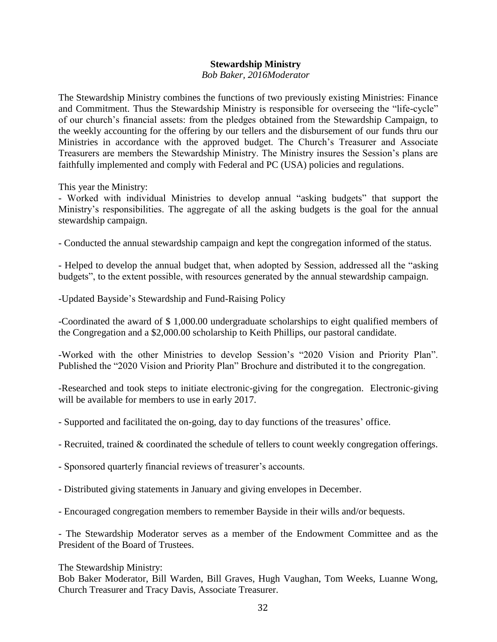#### **Stewardship Ministry**

#### *Bob Baker, 2016Moderator*

The Stewardship Ministry combines the functions of two previously existing Ministries: Finance and Commitment. Thus the Stewardship Ministry is responsible for overseeing the "life-cycle" of our church's financial assets: from the pledges obtained from the Stewardship Campaign, to the weekly accounting for the offering by our tellers and the disbursement of our funds thru our Ministries in accordance with the approved budget. The Church's Treasurer and Associate Treasurers are members the Stewardship Ministry. The Ministry insures the Session's plans are faithfully implemented and comply with Federal and PC (USA) policies and regulations.

This year the Ministry:

- Worked with individual Ministries to develop annual "asking budgets" that support the Ministry's responsibilities. The aggregate of all the asking budgets is the goal for the annual stewardship campaign.

- Conducted the annual stewardship campaign and kept the congregation informed of the status.

- Helped to develop the annual budget that, when adopted by Session, addressed all the "asking budgets", to the extent possible, with resources generated by the annual stewardship campaign.

-Updated Bayside's Stewardship and Fund-Raising Policy

-Coordinated the award of \$ 1,000.00 undergraduate scholarships to eight qualified members of the Congregation and a \$2,000.00 scholarship to Keith Phillips, our pastoral candidate.

-Worked with the other Ministries to develop Session's "2020 Vision and Priority Plan". Published the "2020 Vision and Priority Plan" Brochure and distributed it to the congregation.

-Researched and took steps to initiate electronic-giving for the congregation. Electronic-giving will be available for members to use in early 2017.

- Supported and facilitated the on-going, day to day functions of the treasures' office.
- Recruited, trained & coordinated the schedule of tellers to count weekly congregation offerings.
- Sponsored quarterly financial reviews of treasurer's accounts.
- Distributed giving statements in January and giving envelopes in December.
- Encouraged congregation members to remember Bayside in their wills and/or bequests.

- The Stewardship Moderator serves as a member of the Endowment Committee and as the President of the Board of Trustees.

The Stewardship Ministry:

Bob Baker Moderator, Bill Warden, Bill Graves, Hugh Vaughan, Tom Weeks, Luanne Wong, Church Treasurer and Tracy Davis, Associate Treasurer.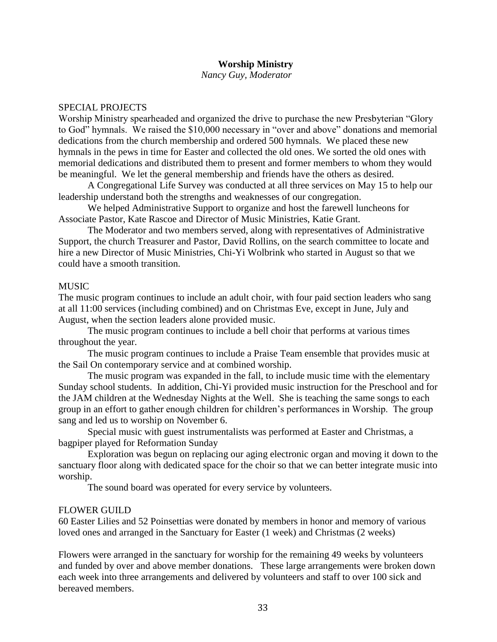#### **Worship Ministry**

*Nancy Guy, Moderator*

#### SPECIAL PROJECTS

Worship Ministry spearheaded and organized the drive to purchase the new Presbyterian "Glory to God" hymnals. We raised the \$10,000 necessary in "over and above" donations and memorial dedications from the church membership and ordered 500 hymnals. We placed these new hymnals in the pews in time for Easter and collected the old ones. We sorted the old ones with memorial dedications and distributed them to present and former members to whom they would be meaningful. We let the general membership and friends have the others as desired.

A Congregational Life Survey was conducted at all three services on May 15 to help our leadership understand both the strengths and weaknesses of our congregation.

We helped Administrative Support to organize and host the farewell luncheons for Associate Pastor, Kate Rascoe and Director of Music Ministries, Katie Grant.

The Moderator and two members served, along with representatives of Administrative Support, the church Treasurer and Pastor, David Rollins, on the search committee to locate and hire a new Director of Music Ministries, Chi-Yi Wolbrink who started in August so that we could have a smooth transition.

#### MUSIC

The music program continues to include an adult choir, with four paid section leaders who sang at all 11:00 services (including combined) and on Christmas Eve, except in June, July and August, when the section leaders alone provided music.

The music program continues to include a bell choir that performs at various times throughout the year.

The music program continues to include a Praise Team ensemble that provides music at the Sail On contemporary service and at combined worship.

The music program was expanded in the fall, to include music time with the elementary Sunday school students. In addition, Chi-Yi provided music instruction for the Preschool and for the JAM children at the Wednesday Nights at the Well. She is teaching the same songs to each group in an effort to gather enough children for children's performances in Worship. The group sang and led us to worship on November 6.

Special music with guest instrumentalists was performed at Easter and Christmas, a bagpiper played for Reformation Sunday

Exploration was begun on replacing our aging electronic organ and moving it down to the sanctuary floor along with dedicated space for the choir so that we can better integrate music into worship.

The sound board was operated for every service by volunteers.

#### FLOWER GUILD

60 Easter Lilies and 52 Poinsettias were donated by members in honor and memory of various loved ones and arranged in the Sanctuary for Easter (1 week) and Christmas (2 weeks)

Flowers were arranged in the sanctuary for worship for the remaining 49 weeks by volunteers and funded by over and above member donations. These large arrangements were broken down each week into three arrangements and delivered by volunteers and staff to over 100 sick and bereaved members.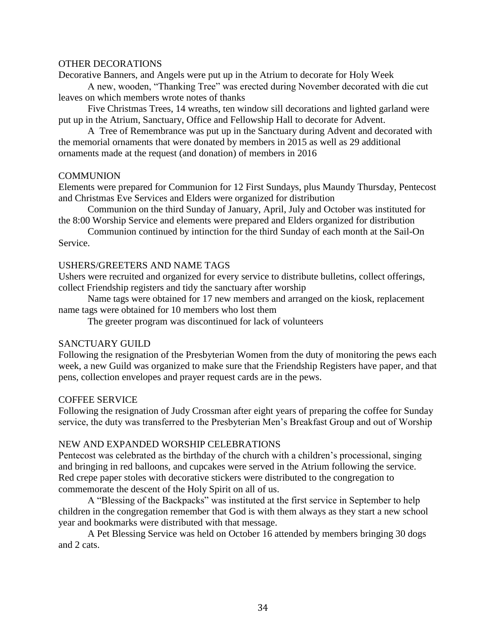#### OTHER DECORATIONS

Decorative Banners, and Angels were put up in the Atrium to decorate for Holy Week

A new, wooden, "Thanking Tree" was erected during November decorated with die cut leaves on which members wrote notes of thanks

Five Christmas Trees, 14 wreaths, ten window sill decorations and lighted garland were put up in the Atrium, Sanctuary, Office and Fellowship Hall to decorate for Advent.

A Tree of Remembrance was put up in the Sanctuary during Advent and decorated with the memorial ornaments that were donated by members in 2015 as well as 29 additional ornaments made at the request (and donation) of members in 2016

#### COMMUNION

Elements were prepared for Communion for 12 First Sundays, plus Maundy Thursday, Pentecost and Christmas Eve Services and Elders were organized for distribution

Communion on the third Sunday of January, April, July and October was instituted for the 8:00 Worship Service and elements were prepared and Elders organized for distribution

Communion continued by intinction for the third Sunday of each month at the Sail-On Service.

#### USHERS/GREETERS AND NAME TAGS

Ushers were recruited and organized for every service to distribute bulletins, collect offerings, collect Friendship registers and tidy the sanctuary after worship

Name tags were obtained for 17 new members and arranged on the kiosk, replacement name tags were obtained for 10 members who lost them

The greeter program was discontinued for lack of volunteers

#### SANCTUARY GUILD

Following the resignation of the Presbyterian Women from the duty of monitoring the pews each week, a new Guild was organized to make sure that the Friendship Registers have paper, and that pens, collection envelopes and prayer request cards are in the pews.

#### COFFEE SERVICE

Following the resignation of Judy Crossman after eight years of preparing the coffee for Sunday service, the duty was transferred to the Presbyterian Men's Breakfast Group and out of Worship

#### NEW AND EXPANDED WORSHIP CELEBRATIONS

Pentecost was celebrated as the birthday of the church with a children's processional, singing and bringing in red balloons, and cupcakes were served in the Atrium following the service. Red crepe paper stoles with decorative stickers were distributed to the congregation to commemorate the descent of the Holy Spirit on all of us.

A "Blessing of the Backpacks" was instituted at the first service in September to help children in the congregation remember that God is with them always as they start a new school year and bookmarks were distributed with that message.

A Pet Blessing Service was held on October 16 attended by members bringing 30 dogs and 2 cats.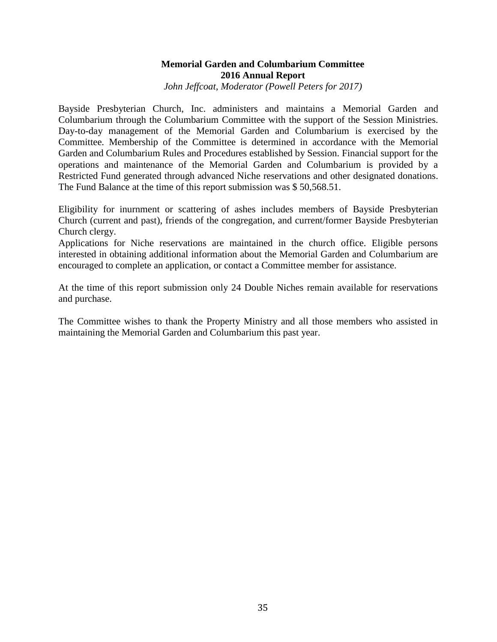# **Memorial Garden and Columbarium Committee 2016 Annual Report**

*John Jeffcoat, Moderator (Powell Peters for 2017)*

Bayside Presbyterian Church, Inc. administers and maintains a Memorial Garden and Columbarium through the Columbarium Committee with the support of the Session Ministries. Day-to-day management of the Memorial Garden and Columbarium is exercised by the Committee. Membership of the Committee is determined in accordance with the Memorial Garden and Columbarium Rules and Procedures established by Session. Financial support for the operations and maintenance of the Memorial Garden and Columbarium is provided by a Restricted Fund generated through advanced Niche reservations and other designated donations. The Fund Balance at the time of this report submission was \$ 50,568.51.

Eligibility for inurnment or scattering of ashes includes members of Bayside Presbyterian Church (current and past), friends of the congregation, and current/former Bayside Presbyterian Church clergy.

Applications for Niche reservations are maintained in the church office. Eligible persons interested in obtaining additional information about the Memorial Garden and Columbarium are encouraged to complete an application, or contact a Committee member for assistance.

At the time of this report submission only 24 Double Niches remain available for reservations and purchase.

The Committee wishes to thank the Property Ministry and all those members who assisted in maintaining the Memorial Garden and Columbarium this past year.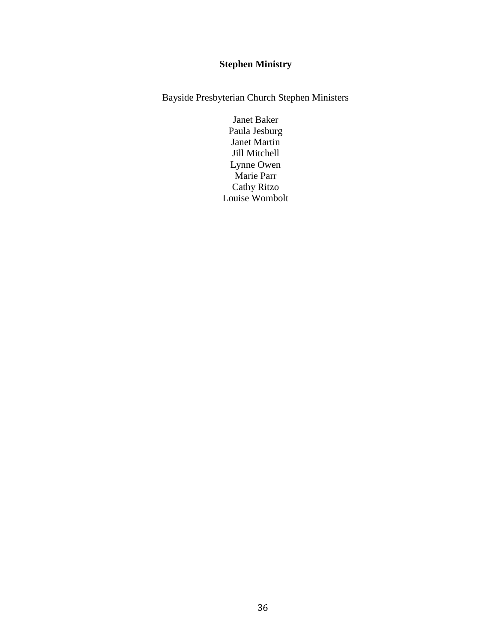# **Stephen Ministry**

Bayside Presbyterian Church Stephen Ministers

Janet Baker Paula Jesburg Janet Martin Jill Mitchell Lynne Owen Marie Parr Cathy Ritzo Louise Wombolt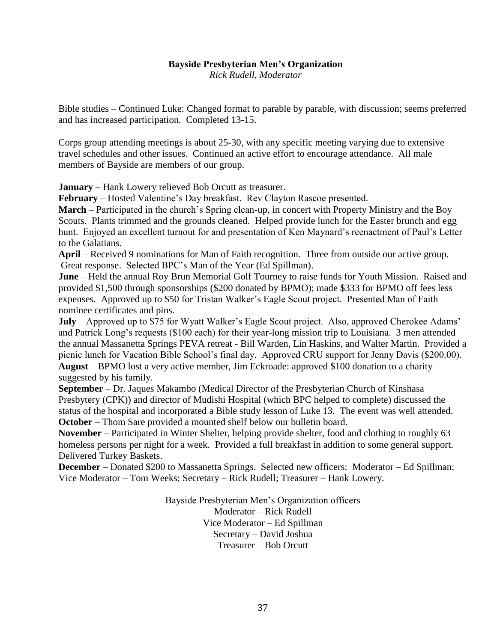# **Bayside Presbyterian Men's Organization**

*Rick Rudell, Moderator*

Bible studies – Continued Luke: Changed format to parable by parable, with discussion; seems preferred and has increased participation. Completed 13-15.

Corps group attending meetings is about 25-30, with any specific meeting varying due to extensive travel schedules and other issues. Continued an active effort to encourage attendance. All male members of Bayside are members of our group.

**January** – Hank Lowery relieved Bob Orcutt as treasurer.

**February** – Hosted Valentine's Day breakfast. Rev Clayton Rascoe presented.

**March** – Participated in the church's Spring clean-up, in concert with Property Ministry and the Boy Scouts. Plants trimmed and the grounds cleaned. Helped provide lunch for the Easter brunch and egg hunt. Enjoyed an excellent turnout for and presentation of Ken Maynard's reenactment of Paul's Letter to the Galatians.

**April** – Received 9 nominations for Man of Faith recognition. Three from outside our active group. Great response. Selected BPC's Man of the Year (Ed Spillman).

**June** – Held the annual Roy Brun Memorial Golf Tourney to raise funds for Youth Mission. Raised and provided \$1,500 through sponsorships (\$200 donated by BPMO); made \$333 for BPMO off fees less expenses. Approved up to \$50 for Tristan Walker's Eagle Scout project. Presented Man of Faith nominee certificates and pins.

**July** – Approved up to \$75 for Wyatt Walker's Eagle Scout project. Also, approved Cherokee Adams' and Patrick Long's requests (\$100 each) for their year-long mission trip to Louisiana. 3 men attended the annual Massanetta Springs PEVA retreat - Bill Warden, Lin Haskins, and Walter Martin. Provided a picnic lunch for Vacation Bible School's final day. Approved CRU support for Jenny Davis (\$200.00). **August** – BPMO lost a very active member, Jim Eckroade: approved \$100 donation to a charity suggested by his family.

**September** – Dr. Jaques Makambo (Medical Director of the Presbyterian Church of Kinshasa Presbytery (CPK)) and director of Mudishi Hospital (which BPC helped to complete) discussed the status of the hospital and incorporated a Bible study lesson of Luke 13. The event was well attended. **October** – Thom Sare provided a mounted shelf below our bulletin board.

**November** – Participated in Winter Shelter, helping provide shelter, food and clothing to roughly 63 homeless persons per night for a week. Provided a full breakfast in addition to some general support. Delivered Turkey Baskets.

**December** – Donated \$200 to Massanetta Springs. Selected new officers: Moderator – Ed Spillman; Vice Moderator – Tom Weeks; Secretary – Rick Rudell; Treasurer – Hank Lowery.

> Bayside Presbyterian Men's Organization officers Moderator – Rick Rudell Vice Moderator – Ed Spillman Secretary – David Joshua Treasurer – Bob Orcutt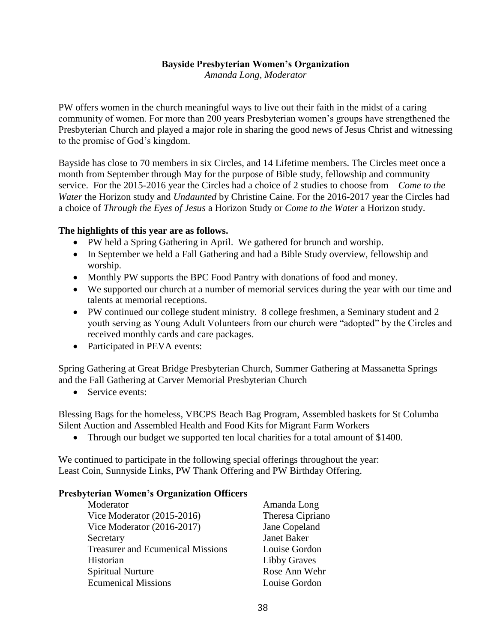#### **Bayside Presbyterian Women's Organization**

*Amanda Long, Moderator*

PW offers women in the church meaningful ways to live out their faith in the midst of a caring community of women. For more than 200 years Presbyterian women's groups have strengthened the Presbyterian Church and played a major role in sharing the good news of Jesus Christ and witnessing to the promise of God's kingdom.

Bayside has close to 70 members in six Circles, and 14 Lifetime members. The Circles meet once a month from September through May for the purpose of Bible study, fellowship and community service. For the 2015-2016 year the Circles had a choice of 2 studies to choose from – *Come to the Water* the Horizon study and *Undaunted* by Christine Caine. For the 2016-2017 year the Circles had a choice of *Through the Eyes of Jesus* a Horizon Study or *Come to the Water* a Horizon study.

#### **The highlights of this year are as follows.**

- PW held a Spring Gathering in April. We gathered for brunch and worship.
- In September we held a Fall Gathering and had a Bible Study overview, fellowship and worship.
- Monthly PW supports the BPC Food Pantry with donations of food and money.
- We supported our church at a number of memorial services during the year with our time and talents at memorial receptions.
- PW continued our college student ministry. 8 college freshmen, a Seminary student and 2 youth serving as Young Adult Volunteers from our church were "adopted" by the Circles and received monthly cards and care packages.
- Participated in PEVA events:

Spring Gathering at Great Bridge Presbyterian Church, Summer Gathering at Massanetta Springs and the Fall Gathering at Carver Memorial Presbyterian Church

• Service events:

Blessing Bags for the homeless, VBCPS Beach Bag Program, Assembled baskets for St Columba Silent Auction and Assembled Health and Food Kits for Migrant Farm Workers

• Through our budget we supported ten local charities for a total amount of \$1400.

We continued to participate in the following special offerings throughout the year: Least Coin, Sunnyside Links, PW Thank Offering and PW Birthday Offering.

#### **Presbyterian Women's Organization Officers**

| Moderator                                | Amanda Long         |
|------------------------------------------|---------------------|
| Vice Moderator $(2015-2016)$             | Theresa Cipriano    |
| Vice Moderator $(2016-2017)$             | Jane Copeland       |
| Secretary                                | <b>Janet Baker</b>  |
| <b>Treasurer and Ecumenical Missions</b> | Louise Gordon       |
| Historian                                | <b>Libby Graves</b> |
| <b>Spiritual Nurture</b>                 | Rose Ann Wehr       |
| <b>Ecumenical Missions</b>               | Louise Gordon       |